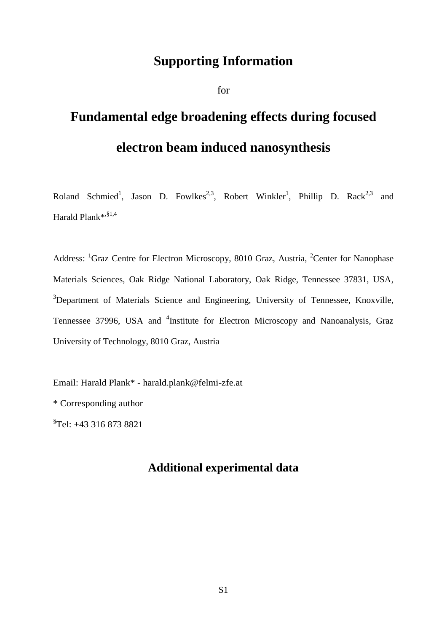## **Supporting Information**

for

## **Fundamental edge broadening effects during focused electron beam induced nanosynthesis**

Roland Schmied<sup>1</sup>, Jason D. Fowlkes<sup>2,3</sup>, Robert Winkler<sup>1</sup>, Phillip D. Rack<sup>2,3</sup> and Harald Plank\*<sup>,§1,4</sup>

Address: <sup>1</sup>Graz Centre for Electron Microscopy, 8010 Graz, Austria, <sup>2</sup>Center for Nanophase Materials Sciences, Oak Ridge National Laboratory, Oak Ridge, Tennessee 37831, USA, <sup>3</sup>Department of Materials Science and Engineering, University of Tennessee, Knoxville, Tennessee 37996, USA and <sup>4</sup>Institute for Electron Microscopy and Nanoanalysis, Graz University of Technology, 8010 Graz, Austria

Email: Harald Plank\* - harald.plank@felmi-zfe.at

\* Corresponding author

§ Tel: +43 316 873 8821

## **Additional experimental data**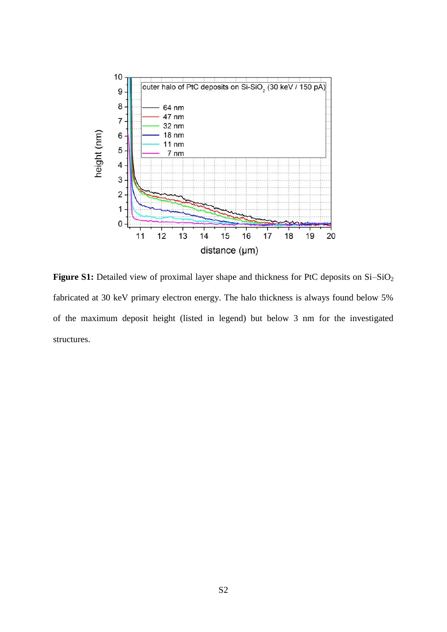

Figure S1: Detailed view of proximal layer shape and thickness for PtC deposits on Si-SiO<sub>2</sub> fabricated at 30 keV primary electron energy. The halo thickness is always found below 5% of the maximum deposit height (listed in legend) but below 3 nm for the investigated structures.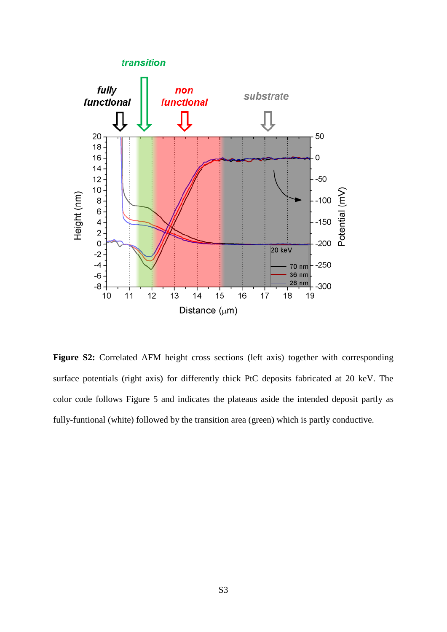

Figure S2: Correlated AFM height cross sections (left axis) together with corresponding surface potentials (right axis) for differently thick PtC deposits fabricated at 20 keV. The color code follows Figure 5 and indicates the plateaus aside the intended deposit partly as fully-funtional (white) followed by the transition area (green) which is partly conductive.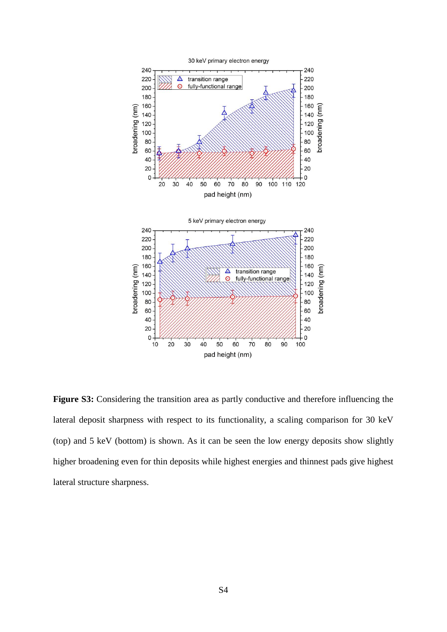

Figure S3: Considering the transition area as partly conductive and therefore influencing the lateral deposit sharpness with respect to its functionality, a scaling comparison for 30 keV (top) and 5 keV (bottom) is shown. As it can be seen the low energy deposits show slightly higher broadening even for thin deposits while highest energies and thinnest pads give highest lateral structure sharpness.